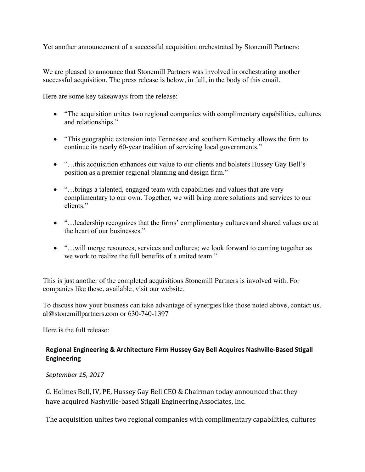Yet another announcement of a successful acquisition orchestrated by Stonemill Partners:

We are pleased to announce that Stonemill Partners was involved in orchestrating another successful acquisition. The press release is below, in full, in the body of this email.

Here are some key takeaways from the release:

- "The acquisition unites two regional companies with complimentary capabilities, cultures and relationships."
- "This geographic extension into Tennessee and southern Kentucky allows the firm to continue its nearly 60-year tradition of servicing local governments."
- "…this acquisition enhances our value to our clients and bolsters Hussey Gay Bell's position as a premier regional planning and design firm."
- "...brings a talented, engaged team with capabilities and values that are very complimentary to our own. Together, we will bring more solutions and services to our clients."
- "…leadership recognizes that the firms' complimentary cultures and shared values are at the heart of our businesses."
- "...will merge resources, services and cultures; we look forward to coming together as we work to realize the full benefits of a united team."

This is just another of the completed acquisitions Stonemill Partners is involved with. For companies like these, available, visit our website.

To discuss how your business can take advantage of synergies like those noted above, contact us. al@stonemillpartners.com or 630-740-1397

Here is the full release:

## Regional Engineering & Architecture Firm Hussey Gay Bell Acquires Nashville-Based Stigall **Engineering**

## *September 15, 2017*

G. Holmes Bell, IV, PE, Hussey Gay Bell CEO & Chairman today announced that they have acquired Nashville-based Stigall Engineering Associates, Inc.

The acquisition unites two regional companies with complimentary capabilities, cultures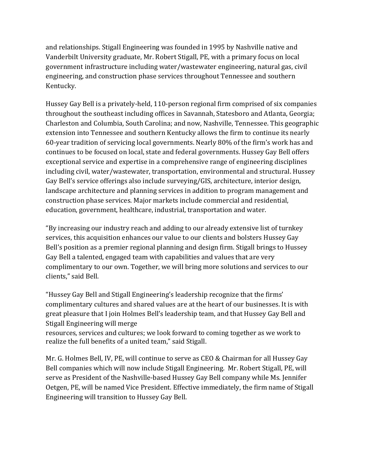and relationships. Stigall Engineering was founded in 1995 by Nashville native and Vanderbilt University graduate, Mr. Robert Stigall, PE, with a primary focus on local government infrastructure including water/wastewater engineering, natural gas, civil engineering, and construction phase services throughout Tennessee and southern Kentucky.

Hussey Gay Bell is a privately-held, 110-person regional firm comprised of six companies throughout the southeast including offices in Savannah, Statesboro and Atlanta, Georgia; Charleston and Columbia, South Carolina; and now, Nashville, Tennessee. This geographic extension into Tennessee and southern Kentucky allows the firm to continue its nearly 60-year tradition of servicing local governments. Nearly  $80\%$  of the firm's work has and continues to be focused on local, state and federal governments. Hussey Gay Bell offers exceptional service and expertise in a comprehensive range of engineering disciplines including civil, water/wastewater, transportation, environmental and structural. Hussey Gay Bell's service offerings also include surveying/GIS, architecture, interior design, landscape architecture and planning services in addition to program management and construction phase services. Major markets include commercial and residential, education, government, healthcare, industrial, transportation and water.

"By increasing our industry reach and adding to our already extensive list of turnkey services, this acquisition enhances our value to our clients and bolsters Hussey Gay Bell's position as a premier regional planning and design firm. Stigall brings to Hussey Gay Bell a talented, engaged team with capabilities and values that are very complimentary to our own. Together, we will bring more solutions and services to our clients," said Bell.

"Hussey Gay Bell and Stigall Engineering's leadership recognize that the firms' complimentary cultures and shared values are at the heart of our businesses. It is with great pleasure that I join Holmes Bell's leadership team, and that Hussey Gay Bell and Stigall Engineering will merge

resources, services and cultures; we look forward to coming together as we work to realize the full benefits of a united team," said Stigall.

Mr. G. Holmes Bell, IV, PE, will continue to serve as CEO & Chairman for all Hussey Gay Bell companies which will now include Stigall Engineering. Mr. Robert Stigall, PE, will serve as President of the Nashville-based Hussey Gay Bell company while Ms. Jennifer Oetgen, PE, will be named Vice President. Effective immediately, the firm name of Stigall Engineering will transition to Hussey Gay Bell.